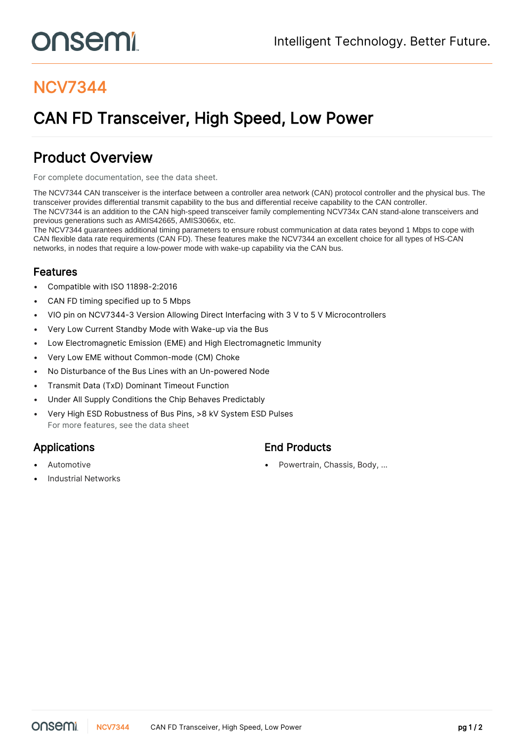# onsemi

## NCV7344

# CAN FD Transceiver, High Speed, Low Power

### Product Overview

For complete documentation, see the [data sheet.](https://www.onsemi.com/PowerSolutions/product.do?id=NCV7344)

The NCV7344 CAN transceiver is the interface between a controller area network (CAN) protocol controller and the physical bus. The transceiver provides differential transmit capability to the bus and differential receive capability to the CAN controller. The NCV7344 is an addition to the CAN high-speed transceiver family complementing NCV734x CAN stand-alone transceivers and previous generations such as AMIS42665, AMIS3066x, etc.

The NCV7344 guarantees additional timing parameters to ensure robust communication at data rates beyond 1 Mbps to cope with CAN flexible data rate requirements (CAN FD). These features make the NCV7344 an excellent choice for all types of HS-CAN networks, in nodes that require a low-power mode with wake-up capability via the CAN bus.

#### Features

- Compatible with ISO 11898-2:2016
- CAN FD timing specified up to 5 Mbps
- VIO pin on NCV7344-3 Version Allowing Direct Interfacing with 3 V to 5 V Microcontrollers
- Very Low Current Standby Mode with Wake-up via the Bus
- Low Electromagnetic Emission (EME) and High Electromagnetic Immunity
- Very Low EME without Common-mode (CM) Choke
- No Disturbance of the Bus Lines with an Un-powered Node
- Transmit Data (TxD) Dominant Timeout Function
- Under All Supply Conditions the Chip Behaves Predictably
- Very High ESD Robustness of Bus Pins, >8 kV System ESD Pulses For more features, see the [data sheet](https://www.onsemi.com/PowerSolutions/product.do?id=NCV7344)

- Applications **End Products** 
	-
- Industrial Networks
- Automotive **Automotive •** Powertrain, Chassis, Body, ...